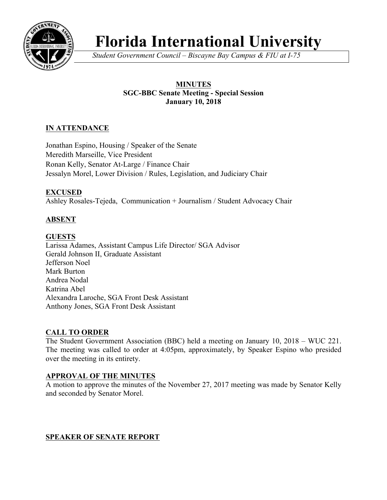

# **Florida International University**

*Student Government Council – Biscayne Bay Campus & FIU at I-75*

# **MINUTES SGC-BBC Senate Meeting - Special Session January 10, 2018**

# **IN ATTENDANCE**

Jonathan Espino, Housing / Speaker of the Senate Meredith Marseille, Vice President Ronan Kelly, Senator At-Large / Finance Chair Jessalyn Morel, Lower Division / Rules, Legislation, and Judiciary Chair

## **EXCUSED**

Ashley Rosales-Tejeda, Communication + Journalism / Student Advocacy Chair

# **ABSENT**

## **GUESTS**

Larissa Adames, Assistant Campus Life Director/ SGA Advisor Gerald Johnson II, Graduate Assistant Jefferson Noel Mark Burton Andrea Nodal Katrina Abel Alexandra Laroche, SGA Front Desk Assistant Anthony Jones, SGA Front Desk Assistant

## **CALL TO ORDER**

The Student Government Association (BBC) held a meeting on January 10, 2018 – WUC 221. The meeting was called to order at 4:05pm, approximately, by Speaker Espino who presided over the meeting in its entirety.

#### **APPROVAL OF THE MINUTES**

A motion to approve the minutes of the November 27, 2017 meeting was made by Senator Kelly and seconded by Senator Morel.

## **SPEAKER OF SENATE REPORT**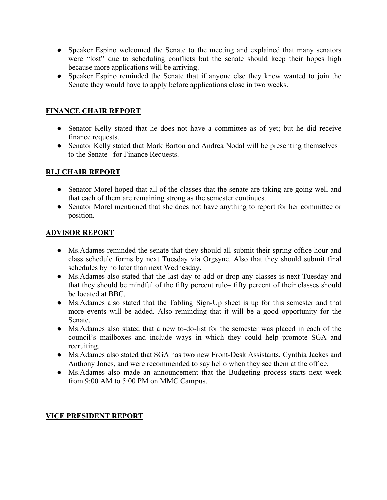- Speaker Espino welcomed the Senate to the meeting and explained that many senators were "lost"–due to scheduling conflicts–but the senate should keep their hopes high because more applications will be arriving.
- Speaker Espino reminded the Senate that if anyone else they knew wanted to join the Senate they would have to apply before applications close in two weeks.

## **FINANCE CHAIR REPORT**

- Senator Kelly stated that he does not have a committee as of yet; but he did receive finance requests.
- Senator Kelly stated that Mark Barton and Andrea Nodal will be presenting themselves– to the Senate– for Finance Requests.

# **RLJ CHAIR REPORT**

- Senator Morel hoped that all of the classes that the senate are taking are going well and that each of them are remaining strong as the semester continues.
- Senator Morel mentioned that she does not have anything to report for her committee or position.

## **ADVISOR REPORT**

- Ms.Adames reminded the senate that they should all submit their spring office hour and class schedule forms by next Tuesday via Orgsync. Also that they should submit final schedules by no later than next Wednesday.
- Ms.Adames also stated that the last day to add or drop any classes is next Tuesday and that they should be mindful of the fifty percent rule– fifty percent of their classes should be located at BBC.
- Ms. Adames also stated that the Tabling Sign-Up sheet is up for this semester and that more events will be added. Also reminding that it will be a good opportunity for the Senate.
- Ms.Adames also stated that a new to-do-list for the semester was placed in each of the council's mailboxes and include ways in which they could help promote SGA and recruiting.
- Ms.Adames also stated that SGA has two new Front-Desk Assistants, Cynthia Jackes and Anthony Jones, and were recommended to say hello when they see them at the office.
- Ms.Adames also made an announcement that the Budgeting process starts next week from 9:00 AM to 5:00 PM on MMC Campus.

## **VICE PRESIDENT REPORT**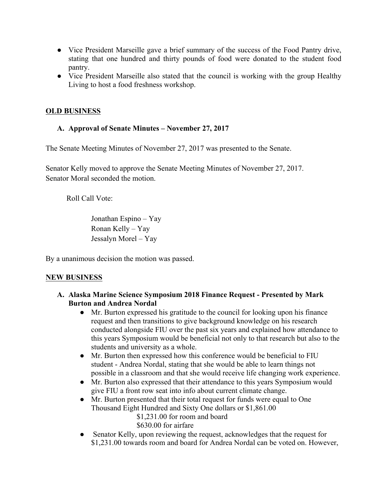- Vice President Marseille gave a brief summary of the success of the Food Pantry drive, stating that one hundred and thirty pounds of food were donated to the student food pantry.
- Vice President Marseille also stated that the council is working with the group Healthy Living to host a food freshness workshop.

#### **OLD BUSINESS**

#### **A. Approval of Senate Minutes – November 27, 2017**

The Senate Meeting Minutes of November 27, 2017 was presented to the Senate.

Senator Kelly moved to approve the Senate Meeting Minutes of November 27, 2017. Senator Moral seconded the motion.

Roll Call Vote:

Jonathan Espino – Yay Ronan Kelly – Yay Jessalyn Morel – Yay

By a unanimous decision the motion was passed.

#### **NEW BUSINESS**

#### **A. Alaska Marine Science Symposium 2018 Finance Request - Presented by Mark Burton and Andrea Nordal**

- Mr. Burton expressed his gratitude to the council for looking upon his finance request and then transitions to give background knowledge on his research conducted alongside FIU over the past six years and explained how attendance to this years Symposium would be beneficial not only to that research but also to the students and university as a whole.
- Mr. Burton then expressed how this conference would be beneficial to FIU student - Andrea Nordal, stating that she would be able to learn things not possible in a classroom and that she would receive life changing work experience.
- Mr. Burton also expressed that their attendance to this years Symposium would give FIU a front row seat into info about current climate change.
- Mr. Burton presented that their total request for funds were equal to One Thousand Eight Hundred and Sixty One dollars or \$1,861.00

\$1,231.00 for room and board \$630.00 for airfare

• Senator Kelly, upon reviewing the request, acknowledges that the request for \$1,231.00 towards room and board for Andrea Nordal can be voted on. However,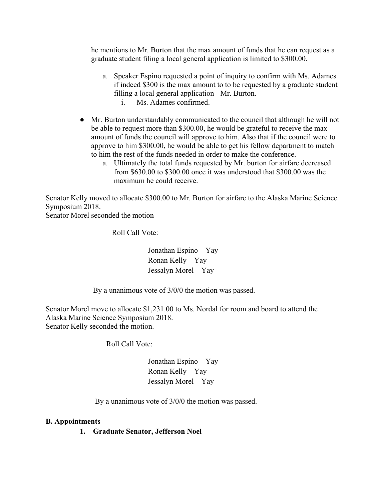he mentions to Mr. Burton that the max amount of funds that he can request as a graduate student filing a local general application is limited to \$300.00.

- a. Speaker Espino requested a point of inquiry to confirm with Ms. Adames if indeed \$300 is the max amount to to be requested by a graduate student filling a local general application - Mr. Burton. i. Ms. Adames confirmed.
- Mr. Burton understandably communicated to the council that although he will not be able to request more than \$300.00, he would be grateful to receive the max amount of funds the council will approve to him. Also that if the council were to approve to him \$300.00, he would be able to get his fellow department to match to him the rest of the funds needed in order to make the conference.
	- a. Ultimately the total funds requested by Mr. burton for airfare decreased from \$630.00 to \$300.00 once it was understood that \$300.00 was the maximum he could receive.

Senator Kelly moved to allocate \$300.00 to Mr. Burton for airfare to the Alaska Marine Science Symposium 2018.

Senator Morel seconded the motion

Roll Call Vote:

 Jonathan Espino – Yay Ronan Kelly – Yay Jessalyn Morel – Yay

By a unanimous vote of 3/0/0 the motion was passed.

Senator Morel move to allocate \$1,231.00 to Ms. Nordal for room and board to attend the Alaska Marine Science Symposium 2018. Senator Kelly seconded the motion.

Roll Call Vote:

 Jonathan Espino – Yay Ronan Kelly – Yay Jessalyn Morel – Yay

By a unanimous vote of 3/0/0 the motion was passed.

#### **B. Appointments**

**1. Graduate Senator, Jefferson Noel**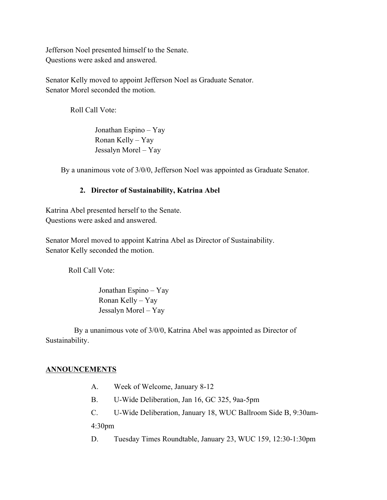Jefferson Noel presented himself to the Senate. Questions were asked and answered.

Senator Kelly moved to appoint Jefferson Noel as Graduate Senator. Senator Morel seconded the motion.

Roll Call Vote:

 Jonathan Espino – Yay Ronan Kelly – Yay Jessalyn Morel – Yay

By a unanimous vote of 3/0/0, Jefferson Noel was appointed as Graduate Senator.

#### **2. Director of Sustainability, Katrina Abel**

Katrina Abel presented herself to the Senate. Questions were asked and answered.

Senator Morel moved to appoint Katrina Abel as Director of Sustainability. Senator Kelly seconded the motion.

Roll Call Vote:

 Jonathan Espino – Yay Ronan Kelly – Yay Jessalyn Morel – Yay

 By a unanimous vote of 3/0/0, Katrina Abel was appointed as Director of Sustainability.

#### **ANNOUNCEMENTS**

- A. Week of Welcome, January 8-12
- B. U-Wide Deliberation, Jan 16, GC 325, 9aa-5pm
- C. U-Wide Deliberation, January 18, WUC Ballroom Side B, 9:30am-

4:30pm

D. Tuesday Times Roundtable, January 23, WUC 159, 12:30-1:30pm